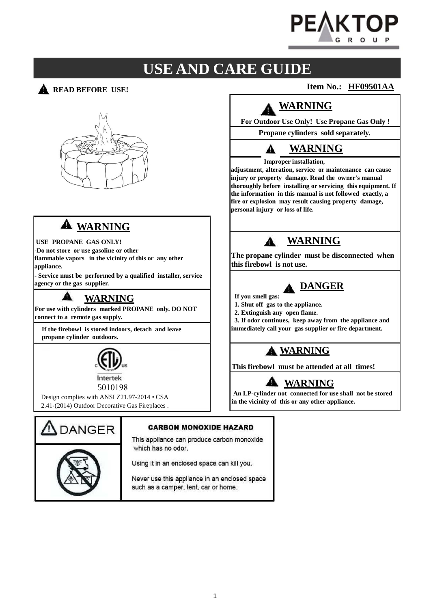

# **USE AND CARE GUIDE**

**READ BEFORE USE!** 



# **WARNING**

**-Do not store or use gasoline or other flammable vapors in the vicinity of this or any other appliance.**

**- Service must be performed by a qualified installer, service**

#### A **WARNING**

**For use with cylinders marked PROPANE only. DO NOT connect to a remote gas supply.**

**If the firebowl is stored indoors, detach and leave propane cylinder outdoors.**



5010198

Design complies with ANSI Z21.97-2014 • CSA 2.41-(2014) Outdoor Decorative Gas Fireplaces .



#### **CARBON MONOXIDE HAZARD**

This appliance can produce carbon monoxide which has no odor.

Using it in an enclosed space can kill you.

Never use this appliance in an enclosed space such as a camper, tent, car or home.

**Item No.: HF09501AA**

# **WARNING**

**For Outdoor Use Only! Use Propane Gas Only !**

**Propane cylinders sold separately.**

## **WARNING**

#### **Improper installation,**

**adjustment, alteration, service or maintenance can cause injury or property damage. Read the owner's manual thoroughly before installing or servicing this equipment. If the information in this manual is not followed exactly, a fire or explosion may result causing property damage, personal injury or loss of life.**

# USE PROPANE GAS ONLY!

**The propane cylinder must be disconnected when this firebowl is not use.**

# **A** DANGER

- **If you smell gas:**
- **1. Shut off gas to the appliance.**
- **2. Extinguish any open flame.**

**3. If odor continues, keep away from the appliance and immediately call your gas supplier or fire department.**

## **WARNING**

**This firebowl must be attended at all times!**

# **WARNING**

**An LP-cylinder not connected for use shall not be stored in the vicinity of this or any other appliance.**

1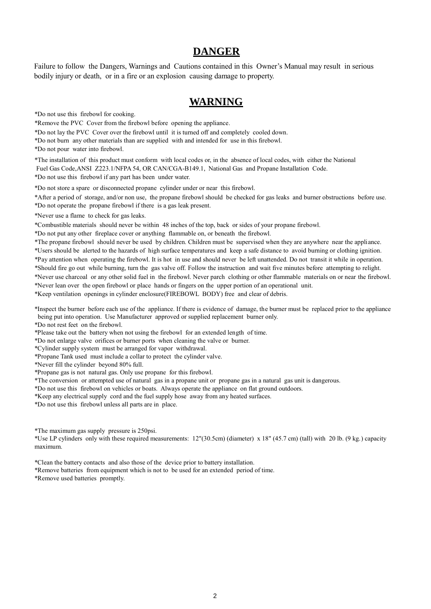### **DANGER**

Failure to follow the Dangers, Warnings and Cautions contained in this Owner's Manual may result in serious bodily injury or death, or in a fire or an explosion causing damage to property.

## **WARNING**

\*Do not use this firebowl for cooking.

\*Remove the PVC Cover from the firebowl before opening the appliance.

\*Do not lay the PVC Cover over the firebowl until it is turned off and completely cooled down.

\*Do not burn any other materials than are supplied with and intended for use in this firebowl.

\*Do not pour water into firebowl.

\*The installation of this product must conform with local codes or, in the absence of local codes, with either the National Fuel Gas Code,ANSI Z223.1/NFPA 54, OR CAN/CGA-B149.1, National Gas and Propane Installation Code. \*Do not use this firebowl if any part has been under water.

\*Do not store a spare or disconnected propane cylinder under or near this firebowl.

\*After a period of storage, and/or non use, the propane firebowl should be checked for gas leaks and burner obstructions before use. \*Do not operate the propane firebowl if there is a gas leak present.

\*Never use a flame to check for gas leaks.

\*Combustible materials should never be within 48 inches of the top, back or sides of your propane firebowl.

\*Do not put any other fireplace cover or anything flammable on, or beneath the firebowl.

\*The propane firebowl should never be used by children. Children must be supervised when they are anywhere near the appli ance. \*Users should be alerted to the hazards of high surface temperatures and keep a safe distance to avoid burning or clothing ignition.

\*Pay attention when operating the firebowl. It is hot in use and should never be left unattended. Do not transit it while in operation.

\*Should fire go out while burning, turn the gas valve off. Follow the instruction and wait five minutes before attempting to relight.

\*Never use charcoal or any other solid fuel in the firebowl. Never parch clothing or other flammable materials on or near the firebowl.

\*Never lean over the open firebowl or place hands or fingers on the upper portion of an operational unit. \*Keep ventilation openings in cylinder enclosure(FIREBOWL BODY) free and clear of debris.

\*Inspect the burner before each use of the appliance. If there is evidence of damage, the burner must be replaced prior to the appliance being put into operation. Use Manufacturer approved or supplied replacement burner only.

\*Do not rest feet on the firebowl.

\*Please take out the battery when not using the firebowl for an extended length of time.

\*Do not enlarge valve orifices or burner ports when cleaning the valve or burner.

\*Cylinder supply system must be arranged for vapor withdrawal.

\*Propane Tank used must include a collar to protect the cylinder valve.

\*Never fill the cylinder beyond 80% full.

\*Propane gas is not natural gas. Only use propane for this firebowl.

\*The conversion or attempted use of natural gas in a propane unit or propane gas in a natural gas unit is dangerous.

\*Do not use this firebowl on vehicles or boats. Always operate the appliance on flat ground outdoors.

\*Keep any electrical supply cord and the fuel supply hose away from any heated surfaces.

\*Do not use this firebowl unless all parts are in place.

\*The maximum gas supply pressure is 250psi.

\*Use LP cylinders only with these required measurements: 12"(30.5cm) (diameter) x 18" (45.7 cm) (tall) with 20 lb. (9 kg. ) capacity maximum.

\*Clean the battery contacts and also those of the device prior to battery installation.

\*Remove batteries from equipment which is not to be used for an extended period of time.

\*Remove used batteries promptly.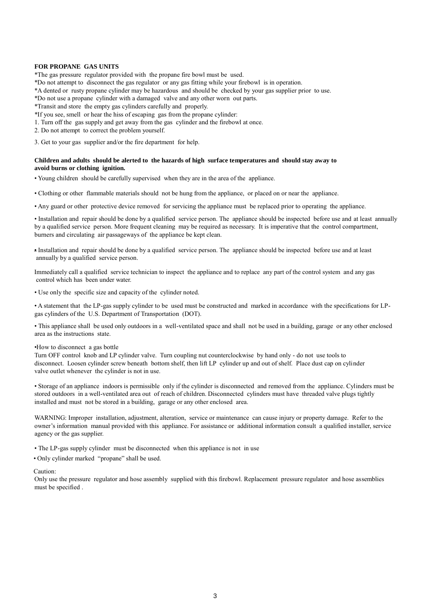#### **FOR PROPANE GAS UNITS**

\*The gas pressure regulator provided with the propane fire bowl must be used.

\*Do not attempt to disconnect the gas regulator or any gas fitting while your firebowl is in operation.

\*A dented or rusty propane cylinder may be hazardous and should be checked by your gas supplier prior to use.

\*Do not use a propane cylinder with a damaged valve and any other worn out parts.

\*Transit and store the empty gas cylinders carefully and properly.

\*If you see, smell or hear the hiss of escaping gas from the propane cylinder:

1. Turn off the gas supply and get away from the gas cylinder and the firebowl at once.

2. Do not attempt to correct the problem yourself.

3. Get to your gas supplier and/or the fire department for help.

#### **Children and adults should be alerted to the hazards of high surface temperatures and should stay away to avoid burns or clothing ignition.**

• Young children should be carefully supervised when they are in the area of the appliance.

• Clothing or other flammable materials should not be hung from the appliance, or placed on or near the appliance.

• Any guard or other protective device removed for servicing the appliance must be replaced prior to operating the appliance.

• Installation and repair should be done by a qualified service person. The appliance should be inspected before use and at least annually by a qualified service person. More frequent cleaning may be required as necessary. It is imperative that the control compartment, burners and circulating air passageways of the appliance be kept clean.

• Installation and repair should be done by a qualified service person. The appliance should be inspected before use and at least annually by a qualified service person.

Immediately call a qualified service technician to inspect the appliance and to replace any part of the control system and any gas control which has been under water.

• Use only the specific size and capacity of the cylinder noted.

• A statement that the LP-gas supply cylinder to be used must be constructed and marked in accordance with the specifications for LP gas cylinders of the U.S. Department of Transportation (DOT).

• This appliance shall be used only outdoors in a well-ventilated space and shall not be used in a building, garage or any other enclosed area as the instructions state.

•How to disconnect a gas bottle

Turn OFF control knob and LP cylinder valve. Turn coupling nut counterclockwise by hand only - do not use tools to disconnect. Loosen cylinder screw beneath bottom shelf, then lift LP cylinder up and out of shelf. Place dust cap on cylinder valve outlet whenever the cylinder is not in use.

• Storage of an appliance indoors is permissible only if the cylinder is disconnected and removed from the appliance. Cylinders must be stored outdoors in a well-ventilated area out of reach of children. Disconnected cylinders must have threaded valve plugs tightly installed and must not be stored in a building, garage or any other enclosed area.

WARNING: Improper installation, adjustment, alteration, service or maintenance can cause injury or property damage. Refer to the owner's information manual provided with this appliance. For assistance or additional information consult a qualified installer, service agency or the gas supplier.

• The LP-gas supply cylinder must be disconnected when this appliance is not in use

• Only cylinder marked "propane" shall be used.

Caution:

Only use the pressure regulator and hose assembly supplied with this firebowl. Replacement pressure regulator and hose assemblies must be specified .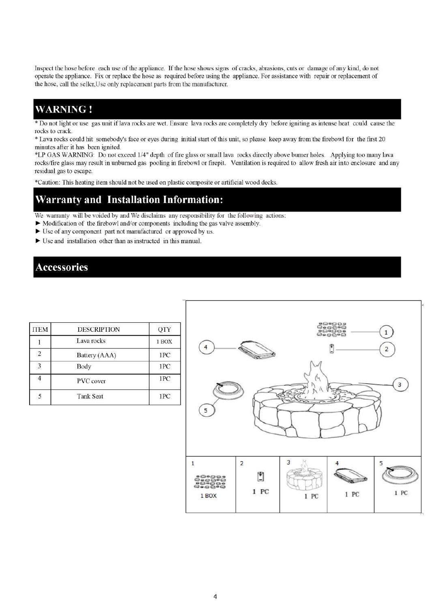Inspect the hose before each use of the appliance. If the hose shows signs of cracks, abrasions, cuts or damage of any kind, do not operate the appliance. Fix or replace the hose as required before using the appliance. For assistance with repair or replacement of the hose, call the seller, Use only replacement parts from the manufacturer.

## **WARNING!**

Do not light or use gas unit if lava rocks are wet. Ensure lava rocks are completely dry before igniting as intense heat could cause the rocks to crack.

\* Lava rocks could hit somebody's face or eyes during initial start of this unit, so please keep away from the firebowl for the first 20 minutes after it has been ignited.

\*LP GAS WARNING: Do not exceed 1/4" depth of fire glass or small lava rocks directly above burner holes. Applying too many lava rocks/fire glass may result in unburned gas pooling in firebowl or firepit. Ventilation is required to allow fresh air into enclosure and any residual gas to escape.

\*Caution: This heating item should not be used on plastic composite or artificial wood decks.

# Warranty and Installation Information:

We warranty will be voided by and We disclaims any responsibility for the following actions:

- $\triangleright$  Modification of the firebowl and/or components including the gas valve assembly.
- ► Use of any component part not manufactured or approved by us.
- $\blacktriangleright$  Use and installation other than as instructed in this manual.

## **Accessories**

| <b>ITEM</b>    | <b>DESCRIPTION</b> | QTY   |
|----------------|--------------------|-------|
|                | Lava rocks         | 1 BOX |
| $\overline{2}$ | Battery (AAA)      | 1PC   |
| 3              | Body               | 1PC   |
|                | <b>PVC</b> cover   | 1PC   |
|                | <b>Tank Seat</b>   | 1PC   |

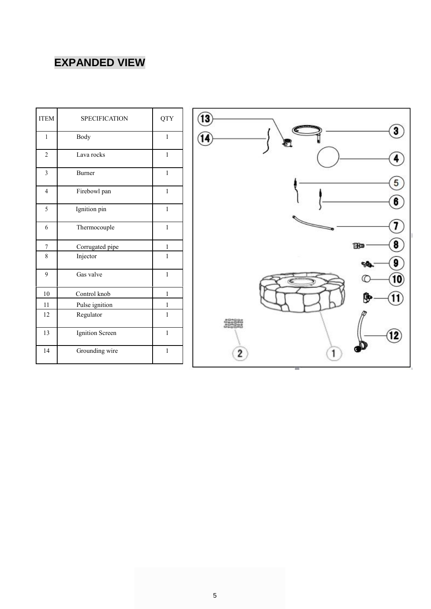# **EXPANDED VIEW**

| <b>ITEM</b>             | <b>SPECIFICATION</b> | <b>QTY</b>   |
|-------------------------|----------------------|--------------|
| $\mathbf{1}$            | Body                 | 1            |
| $\overline{c}$          | Lava rocks           | $\mathbf{1}$ |
| $\overline{\mathbf{3}}$ | <b>Burner</b>        | $\mathbf{1}$ |
| $\overline{4}$          | Firebowl pan         | $\mathbf{1}$ |
| 5                       | Ignition pin         | $\mathbf{1}$ |
| 6                       | Thermocouple         | $\mathbf{1}$ |
| 7                       | Corrugated pipe      | 1            |
| 8                       | Injector             | 1            |
| 9                       | Gas valve            | $\mathbf{1}$ |
| 10                      | Control knob         | 1            |
| 11                      | Pulse ignition       | 1            |
| 12                      | Regulator            | 1            |
| 13                      | Ignition Screen      | $\mathbf{1}$ |
| 14                      | Grounding wire       | $\mathbf{1}$ |

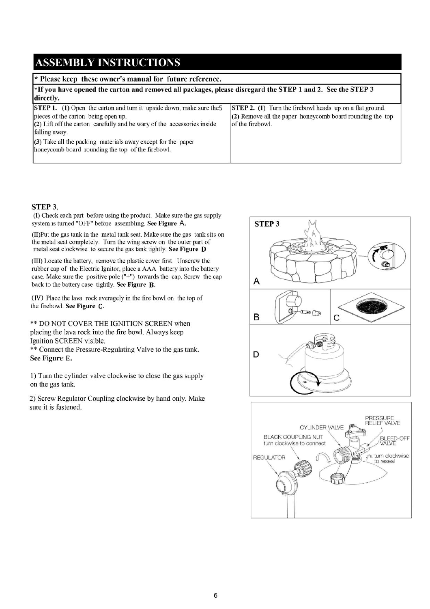## **ASSEMBLY INSTRUCTIONS**

#### \* Please keep these owner's manual for future reference.

| <sup>*</sup> If you have opened the carton and removed all packages, please disregard the STEP 1 and 2. See the STEP 3<br>directly.                                                                                                                                                                                                 |                                                                                                                                                    |  |  |
|-------------------------------------------------------------------------------------------------------------------------------------------------------------------------------------------------------------------------------------------------------------------------------------------------------------------------------------|----------------------------------------------------------------------------------------------------------------------------------------------------|--|--|
| <b>STEP 1.</b> (1) Open the carton and turn it upside down, make sure the 5<br>pieces of the carton being open up.<br>(2) Lift off the carton carefully and be wary of the accessories inside<br>falling away.<br>(3) Take all the packing materials away except for the paper<br>honeycomb board rounding the top of the firebowl. | <b>STEP 2.</b> (1) Turn the firebowl heads up on a flat ground.<br>$(2)$ Remove all the paper honeycomb board rounding the top<br>of the firebowl. |  |  |

#### STEP 3.

(I) Check each part before using the product. Make sure the gas supply system is turned "OFF" before assembling. See Figure A.

(II) Put the gas tank in the metal tank seat. Make sure the gas tank sits on the metal seat completely. Turn the wing screw on the outer part of metal seat clockwise to secure the gas tank tightly. See Figure D

(III) Locate the battery, remove the plastic cover first. Unscrew the rubber cap of the Electric Ignitor, place a AAA battery into the battery case. Make sure the positive pole ("+") towards the cap. Screw the cap back to the battery case tightly. See Figure B.

(IV) Place the lava rock averagely in the fire bowl on the top of the firebowl. See Figure C.

\*\* DO NOT COVER THE IGNITION SCREEN when placing the lava rock into the fire bowl. Always keep Ignition SCREEN visible.

\*\* Connect the Pressure-Regulating Valve to the gas tank. See Figure E.

1) Turn the cylinder valve clockwise to close the gas supply on the gas tank.

2) Screw Regulator Coupling clockwise by hand only. Make sure it is fastened.

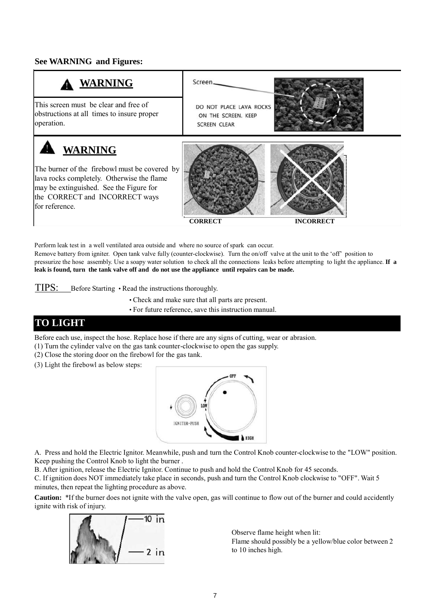### **See WARNING and Figures:**



Perform leak test in a well ventilated area outside and where no source of spark can occur. Remove battery from igniter. Open tank valve fully (counter-clockwise). Turn the on/off valve at the unit to the 'off' position to pressurize the hose assembly. Use a soapy water solution to check all the connections leaks before attempting to light the appliance. **If a leak is found, turn the tank valve off and do not use the appliance until repairs can be made.**

TIPS: Before Starting • Read the instructions thoroughly.

• Check and make sure that all parts are present.

• For future reference, save this instruction manual.

### **TO LIGHT**

Before each use, inspect the hose. Replace hose if there are any signs of cutting, wear or abrasion.

(1) Turn the cylinder valve on the gas tank counter-clockwise to open the gas supply.

- (2) Close the storing door on the firebowl for the gas tank.
- (3) Light the firebowl as below steps:



A. Press and hold the Electric Ignitor. Meanwhile, push and turn the Control Knob counter-clockwise to the "LOW" position. Keep pushing the Control Knob to light the burner .

B. After ignition, release the Electric Ignitor. Continue to push and hold the Control Knob for 45 seconds.

C. If ignition does NOT immediately take place in seconds, push and turn the Control Knob clockwise to "OFF". Wait 5 minutes, then repeat the lighting procedure as above.

**Caution:** \*If the burner does not ignite with the valve open, gas will continue to flow out of the burner and could accidently ignite with risk of injury.



Observe flame height when lit: Flame should possibly be a yellow/blue color between 2 to 10 inches high.